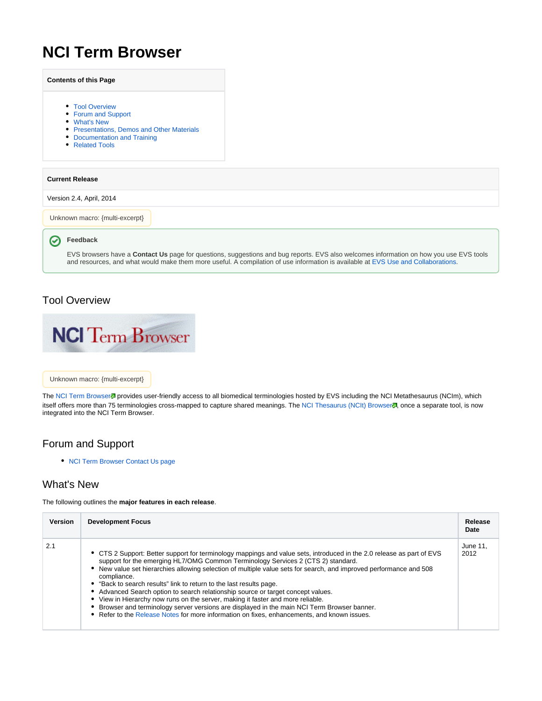# **NCI Term Browser**

|                        | <b>Contents of this Page</b>                                                                                                                               |                                                                                                                                                                                                                                                                                    |
|------------------------|------------------------------------------------------------------------------------------------------------------------------------------------------------|------------------------------------------------------------------------------------------------------------------------------------------------------------------------------------------------------------------------------------------------------------------------------------|
|                        | • Tool Overview<br>• Forum and Support<br>• What's New<br>• Presentations, Demos and Other Materials<br>Documentation and Training<br>٠<br>• Related Tools |                                                                                                                                                                                                                                                                                    |
| <b>Current Release</b> |                                                                                                                                                            |                                                                                                                                                                                                                                                                                    |
|                        | Version 2.4, April, 2014                                                                                                                                   |                                                                                                                                                                                                                                                                                    |
|                        | Unknown macro: {multi-excerpt}                                                                                                                             |                                                                                                                                                                                                                                                                                    |
|                        | Feedback                                                                                                                                                   |                                                                                                                                                                                                                                                                                    |
|                        |                                                                                                                                                            | EVS browsers have a <b>Contact Us</b> page for questions, suggestions and bug reports. EVS also welcomes information on how you use EVS tools<br>and resources, and what would make them more useful. A compilation of use information is available at EVS Use and Collaborations. |

### <span id="page-0-0"></span>Tool Overview



#### Unknown macro: {multi-excerpt}

The [NCI Term Browser](http://nciterms.nci.nih.gov)<sup>g</sup> provides user-friendly access to all biomedical terminologies hosted by EVS including the NCI Metathesaurus (NCIm), which itself offers more than 75 terminologies cross-mapped to capture shared meanings. The [NCI Thesaurus \(NCIt\) Browser](http://ncit.nci.nih.gov) , once a separate tool, is now integrated into the NCI Term Browser.

### <span id="page-0-1"></span>Forum and Support

• [NCI Term Browser Contact Us page](http://nciterms.nci.nih.gov/ncitbrowser/pages/contact_us.jsf)

### <span id="page-0-2"></span>What's New

The following outlines the **major features in each release**.

| <b>Version</b> | <b>Development Focus</b>                                                                                                                                                                                                                                                                                                                                                                                                                                                                                                                                                                                                                                                                                                                                                          | Release<br>Date  |
|----------------|-----------------------------------------------------------------------------------------------------------------------------------------------------------------------------------------------------------------------------------------------------------------------------------------------------------------------------------------------------------------------------------------------------------------------------------------------------------------------------------------------------------------------------------------------------------------------------------------------------------------------------------------------------------------------------------------------------------------------------------------------------------------------------------|------------------|
| 2.1            | • CTS 2 Support: Better support for terminology mappings and value sets, introduced in the 2.0 release as part of EVS<br>support for the emerging HL7/OMG Common Terminology Services 2 (CTS 2) standard.<br>New value set hierarchies allowing selection of multiple value sets for search, and improved performance and 508<br>compliance.<br>• "Back to search results" link to return to the last results page.<br>Advanced Search option to search relationship source or target concept values.<br>View in Hierarchy now runs on the server, making it faster and more reliable.<br>Browser and terminology server versions are displayed in the main NCI Term Browser banner.<br>Refer to the Release Notes for more information on fixes, enhancements, and known issues. | June 11.<br>2012 |